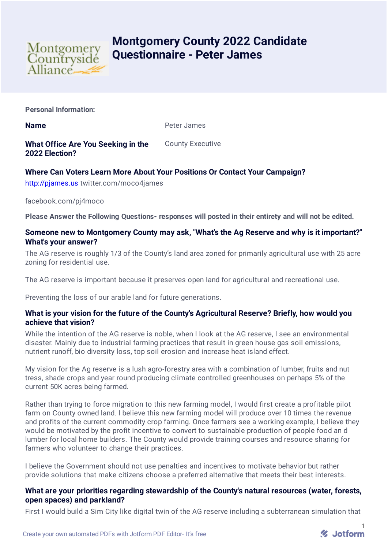

# **Montgomery County 2022 Candidate Questionnaire - Peter James**

**Personal Information:**

**Name** Peter James

**What Office Are You Seeking in the 2022 Election?** County Executive

# **Where Can Voters Learn More About Your Positions Or Contact Your Campaign?**

[http://pjames.us](http://pjames.us/) twitter.com/moco4james

facebook.com/pj4moco

**Please Answer the Following Questions- responses will posted in their entirety and will not be edited.**

#### **Someone new to Montgomery County may ask, "What's the Ag Reserve and why is it important?" What's your answer?**

The AG reserve is roughly 1/3 of the County's land area zoned for primarily agricultural use with 25 acre zoning for residential use.

The AG reserve is important because it preserves open land for agricultural and recreational use.

Preventing the loss of our arable land for future generations.

## **What is your vision for the future of the County's Agricultural Reserve? Briefly, how would you achieve that vision?**

While the intention of the AG reserve is noble, when I look at the AG reserve, I see an environmental disaster. Mainly due to industrial farming practices that result in green house gas soil emissions, nutrient runoff, bio diversity loss, top soil erosion and increase heat island effect.

My vision for the Ag reserve is a lush agro-forestry area with a combination of lumber, fruits and nut tress, shade crops and year round producing climate controlled greenhouses on perhaps 5% of the current 50K acres being farmed.

Rather than trying to force migration to this new farming model, I would first create a profitable pilot farm on County owned land. I believe this new farming model will produce over 10 times the revenue and profits of the current commodity crop farming. Once farmers see a working example, I believe they would be motivated by the profit incentive to convert to sustainable production of people food an d lumber for local home builders. The County would provide training courses and resource sharing for farmers who volunteer to change their practices.

I believe the Government should not use penalties and incentives to motivate behavior but rather provide solutions that make citizens choose a preferred alternative that meets their best interests.

#### **What are your priorities regarding stewardship of the County's natural resources (water, forests, open spaces) and parkland?**

First I would build a Sim City like digital twin of the AG reserve including a subterranean simulation that

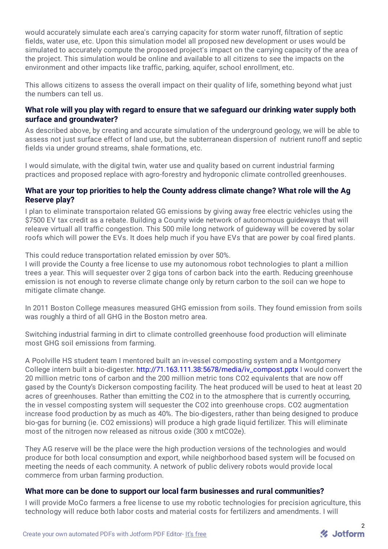would accurately simulate each area's carrying capacity for storm water runoff, filtration of septic fields, water use, etc. Upon this simulation model all proposed new development or uses would be simulated to accurately compute the proposed project's impact on the carrying capacity of the area of the project. This simulation would be online and available to all citizens to see the impacts on the environment and other impacts like traffic, parking, aquifer, school enrollment, etc.

This allows citizens to assess the overall impact on their quality of life, something beyond what just the numbers can tell us.

#### **What role will you play with regard to ensure that we safeguard our drinking water supply both surface and groundwater?**

As described above, by creating and accurate simulation of the underground geology, we will be able to assess not just surface effect of land use, but the subterranean dispersion of nutrient runoff and septic fields via under ground streams, shale formations, etc.

I would simulate, with the digital twin, water use and quality based on current industrial farming practices and proposed replace with agro-forestry and hydroponic climate controlled greenhouses.

#### **What are your top priorities to help the County address climate change? What role will the Ag Reserve play?**

I plan to eliminate transportaion related GG emissions by giving away free electric vehicles using the \$7500 EV tax credit as a rebate. Building a County wide network of autonomous guideways that will releave virtuall all traffic congestion. This 500 mile long network of guideway will be covered by solar roofs which will power the EVs. It does help much if you have EVs that are power by coal fired plants.

This could reduce transportation related emission by over 50%.

I will provide the County a free license to use my autonomous robot technologies to plant a million trees a year. This will sequester over 2 giga tons of carbon back into the earth. Reducing greenhouse emission is not enough to reverse climate change only by return carbon to the soil can we hope to mitigate climate change.

In 2011 Boston College measures measured GHG emission from soils. They found emission from soils was roughly a third of all GHG in the Boston metro area.

Switching industrial farming in dirt to climate controlled greenhouse food production will eliminate most GHG soil emissions from farming.

A Poolville HS student team I mentored built an in-vessel composting system and a Montgomery College intern built a bio-digester. [http://71.163.111.38:5678/media/iv\\_compost.pptx](http://71.163.111.38:5678/media/iv_compost.pptx) I would convert the 20 million metric tons of carbon and the 200 million metric tons CO2 equivalents that are now off gased by the County's Dickerson composting facility. The heat produced will be used to heat at least 20 acres of greenhouses. Rather than emitting the CO2 in to the atmosphere that is currently occurring, the in vessel composting system will sequester the CO2 into greenhouse crops. CO2 augmentation increase food production by as much as 40%. The bio-digesters, rather than being designed to produce bio-gas for burning (ie. CO2 emissions) will produce a high grade liquid fertilizer. This will eliminate most of the nitrogen now released as nitrous oxide (300 x mtCO2e).

They AG reserve will be the place were the high production versions of the technologies and would produce for both local consumption and export, while neighborhood based system will be focused on meeting the needs of each community. A network of public delivery robots would provide local commerce from urban farming production.

#### **What more can be done to support our local farm businesses and rural communities?**

I will provide MoCo farmers a free license to use my robotic technologies for precision agriculture, this technology will reduce both labor costs and material costs for fertilizers and amendments. I will

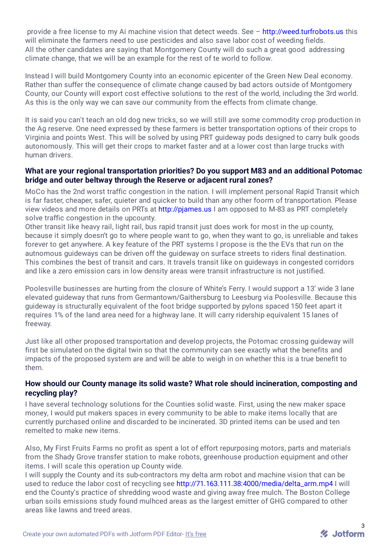provide a free license to my Ai machine vision that detect weeds. See - [http://weed.turfrobots.us](http://weed.turfrobots.us/) this will eliminate the farmers need to use pesticides and also save labor cost of weeding fields. All the other candidates are saying that Montgomery County will do such a great good addressing climate change, that we will be an example for the rest of te world to follow.

Instead I will build Montgomery County into an economic epicenter of the Green New Deal economy. Rather than suffer the consequence of climate change caused by bad actors outside of Montgomery County, our County will export cost effective solutions to the rest of the world, including the 3rd world. As this is the only way we can save our community from the effects from climate change.

It is said you can't teach an old dog new tricks, so we will still ave some commodity crop production in the Ag reserve. One need expressed by these farmers is better transportation options of their crops to Virginia and points West. This will be solved by using PRT guideway pods designed to carry bulk goods autonomously. This will get their crops to market faster and at a lower cost than large trucks with human drivers.

#### **What are your regional transportation priorities? Do you support M83 and an additional Potomac bridge and outer beltway through the Reserve or adjacent rural zones?**

MoCo has the 2nd worst traffic congestion in the nation. I will implement personal Rapid Transit which is far faster, cheaper, safer, quieter and quicker to build than any other foorm of transportation. Please view videos and more details on PRTs at [http://pjames.us](http://pjames.us/) I am opposed to M-83 as PRT completely solve traffic congestion in the upcounty.

Other transit like heavy rail, light rail, bus rapid transit just does work for most in the up county, because it simply doesn't go to where people want to go, when they want to go, is unreliable and takes forever to get anywhere. A key feature of the PRT systems I propose is the the EVs that run on the autnomous guideways can be driven off the guideway on surface streets to riders final destination. This combines the best of transit and cars. It travels transit like on guideways in congested corridors and like a zero emission cars in low density areas were transit infrastructure is not justified.

Poolesville businesses are hurting from the closure of White's Ferry. I would support a 13' wide 3 lane elevated guideway that runs from Germantown/Gaithersburg to Leesburg via Poolesville. Because this guideway is structurally equivalent of the foot bridge supported by pylons spaced 150 feet apart it requires 1% of the land area need for a highway lane. It will carry ridership equivalent 15 lanes of freeway.

Just like all other proposed transportation and develop projects, the Potomac crossing guideway will first be simulated on the digital twin so that the community can see exactly what the benefits and impacts of the proposed system are and will be able to weigh in on whether this is a true benefit to them.

#### **How should our County manage its solid waste? What role should incineration, composting and recycling play?**

I have several technology solutions for the Counties solid waste. First, using the new maker space money, I would put makers spaces in every community to be able to make items locally that are currently purchased online and discarded to be incinerated. 3D printed items can be used and ten remelted to make new items.

Also, My First Fruits Farms no profit as spent a lot of effort repurposing motors, parts and materials from the Shady Grove transfer station to make robots, greenhouse production equipment and other items. I will scale this operation up County wide.

I will supply the County and its sub-contractors my delta arm robot and machine vision that can be used to reduce the labor cost of recycling see [http://71.163.111.38:4000/media/delta\\_arm.mp4](http://71.163.111.38:4000/media/delta_arm.mp4) I will end the County's practice of shredding wood waste and giving away free mulch. The Boston College urban soils emissions study found mulhced areas as the largest emitter of GHG compared to other areas like lawns and treed areas.

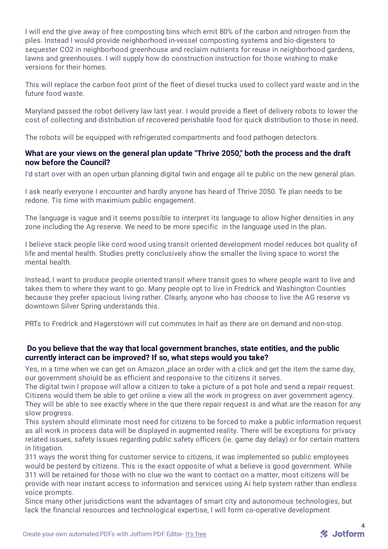I will end the give away of free composting bins which emit 80% of the carbon and nitrogen from the piles. Instead I would provide neighborhood in-vessel composting systems and bio-digesters to sequester CO2 in neighborhood greenhouse and reclaim nutrients for reuse in neighborhood gardens, lawns and greenhouses. I will supply how do construction instruction for those wishing to make versions for their homes.

This will replace the carbon foot print of the fleet of diesel trucks used to collect yard waste and in the future food waste.

Maryland passed the robot delivery law last year. I would provide a fleet of delivery robots to lower the cost of collecting and distribution of recovered perishable food for quick distribution to those in need.

The robots will be equipped with refrigerated compartments and food pathogen detectors.

#### **What are your views on the general plan update "Thrive 2050," both the process and the draft now before the Council?**

I'd start over with an open urban planning digital twin and engage all te public on the new general plan.

I ask nearly everyone I encounter and hardly anyone has heard of Thrive 2050. Te plan needs to be redone. Tis time with maximium public engagement.

The language is vague and it seems possible to interpret its language to allow higher densities in any zone including the Ag reserve. We need to be more specific in the language used in the plan.

I believe stack people like cord wood using transit oriented development model reduces bot quality of life and mental health. Studies pretty conclusively show the smaller the living space to worst the mental health.

Instead, I want to produce people oriented transit where transit goes to where people want to live and takes them to where they want to go. Many people opt to live in Fredrick and Washington Counties because they prefer spacious living rather. Clearly, anyone who has choose to live the AG reserve vs downtown Silver Spring understands this.

PRTs to Fredrick and Hagerstown will cut commutes in half as there are on demand and non-stop.

## **Do you believe that the way that local government branches, state entities, and the public currently interact can be improved? If so, what steps would you take?**

Yes, in a time when we can get on Amazon ,place an order with a click and get the item the same day, our government shoiuld be as efficient and responsive to the citizens it serves.

The digital twin I propose will allow a citizen to take a picture of a pot hole and send a repair request. Citizens would them be able to get online a view all the work in progress on aver government agency. They will be able to see exactly where in the que there repair request is and what are the reason for any slow progress.

This system should eliminate most need for citizens to be forced to make a public information request as all work in process data will be displayed in augmented reality. There will be exceptions for privacy related issues, safety issues regarding public safety officers (ie. game day delay) or for certain matters in litigation.

311 ways the worst thing for customer service to citizens, it was implemented so public employees would be pesterd by citizens. This is the exact opposite of what a believe is good government. While 311 will be retained for those with no clue wo the want to contact on a matter, most citizens will be provide with near instant access to information and services using Ai help system rather than endless voice prompts.

Since many other jurisdictions want the advantages of smart city and autonomous technologies, but lack the financial resources and technological expertise, I will form co-operative development